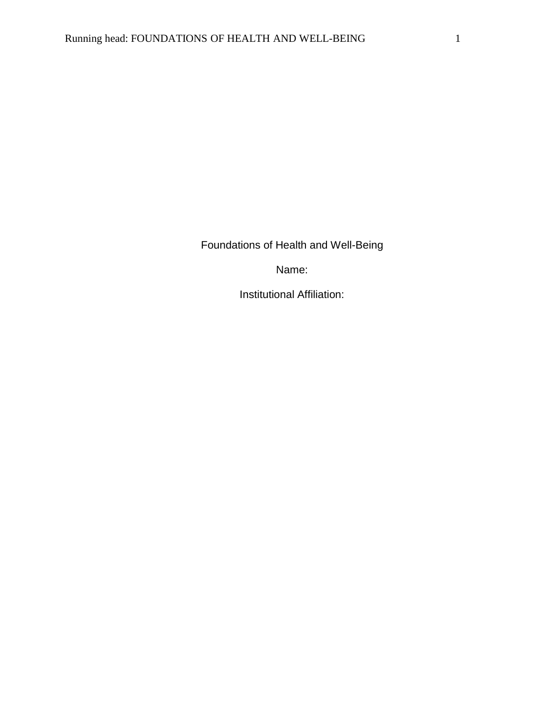Foundations of Health and Well-Being

Name:

Institutional Affiliation: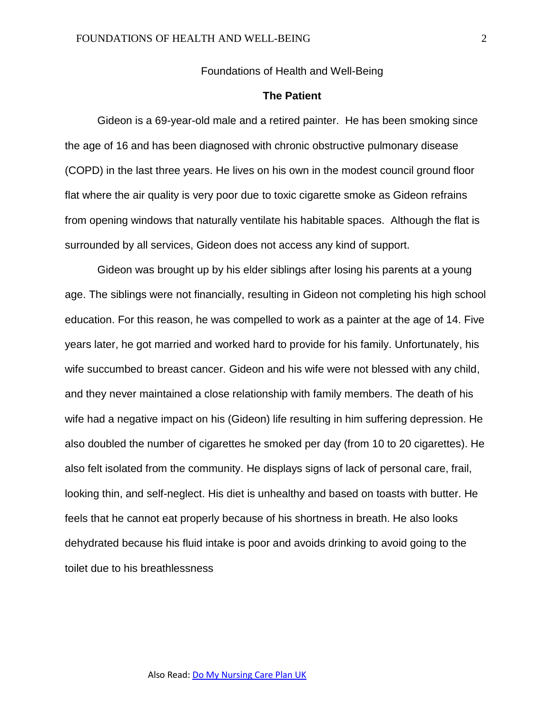Foundations of Health and Well-Being

# **The Patient**

Gideon is a 69-year-old male and a retired painter. He has been smoking since the age of 16 and has been diagnosed with chronic obstructive pulmonary disease (COPD) in the last three years. He lives on his own in the modest council ground floor flat where the air quality is very poor due to toxic cigarette smoke as Gideon refrains from opening windows that naturally ventilate his habitable spaces. Although the flat is surrounded by all services, Gideon does not access any kind of support.

Gideon was brought up by his elder siblings after losing his parents at a young age. The siblings were not financially, resulting in Gideon not completing his high school education. For this reason, he was compelled to work as a painter at the age of 14. Five years later, he got married and worked hard to provide for his family. Unfortunately, his wife succumbed to breast cancer. Gideon and his wife were not blessed with any child, and they never maintained a close relationship with family members. The death of his wife had a negative impact on his (Gideon) life resulting in him suffering depression. He also doubled the number of cigarettes he smoked per day (from 10 to 20 cigarettes). He also felt isolated from the community. He displays signs of lack of personal care, frail, looking thin, and self-neglect. His diet is unhealthy and based on toasts with butter. He feels that he cannot eat properly because of his shortness in breath. He also looks dehydrated because his fluid intake is poor and avoids drinking to avoid going to the toilet due to his breathlessness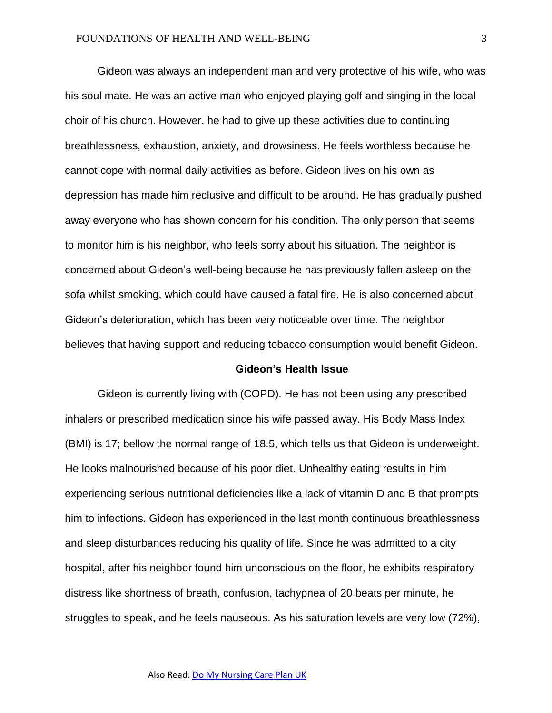Gideon was always an independent man and very protective of his wife, who was his soul mate. He was an active man who enjoyed playing golf and singing in the local choir of his church. However, he had to give up these activities due to continuing breathlessness, exhaustion, anxiety, and drowsiness. He feels worthless because he cannot cope with normal daily activities as before. Gideon lives on his own as depression has made him reclusive and difficult to be around. He has gradually pushed away everyone who has shown concern for his condition. The only person that seems to monitor him is his neighbor, who feels sorry about his situation. The neighbor is concerned about Gideon's well-being because he has previously fallen asleep on the sofa whilst smoking, which could have caused a fatal fire. He is also concerned about Gideon's deterioration, which has been very noticeable over time. The neighbor believes that having support and reducing tobacco consumption would benefit Gideon.

#### **Gideon's Health Issue**

Gideon is currently living with (COPD). He has not been using any prescribed inhalers or prescribed medication since his wife passed away. His Body Mass Index (BMI) is 17; bellow the normal range of 18.5, which tells us that Gideon is underweight. He looks malnourished because of his poor diet. Unhealthy eating results in him experiencing serious nutritional deficiencies like a lack of vitamin D and B that prompts him to infections. Gideon has experienced in the last month continuous breathlessness and sleep disturbances reducing his quality of life. Since he was admitted to a city hospital, after his neighbor found him unconscious on the floor, he exhibits respiratory distress like shortness of breath, confusion, tachypnea of 20 beats per minute, he struggles to speak, and he feels nauseous. As his saturation levels are very low (72%),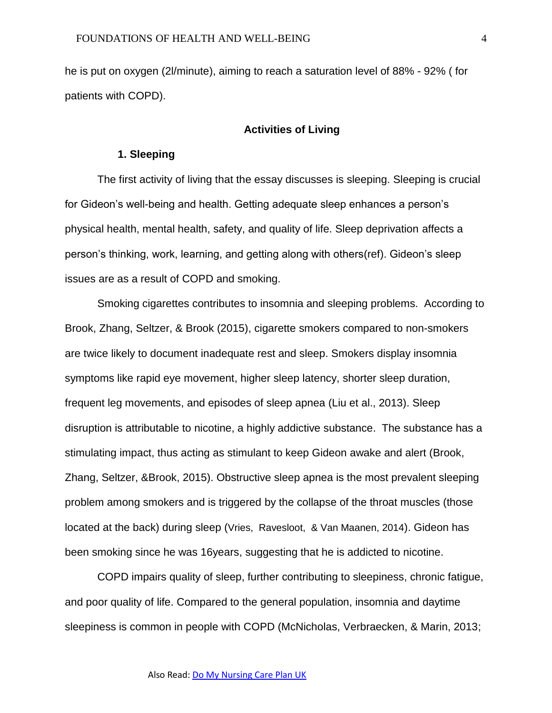he is put on oxygen (2l/minute), aiming to reach a saturation level of 88% - 92% ( for patients with COPD).

# **Activities of Living**

## **1. Sleeping**

The first activity of living that the essay discusses is sleeping. Sleeping is crucial for Gideon's well-being and health. Getting adequate sleep enhances a person's physical health, mental health, safety, and quality of life. Sleep deprivation affects a person's thinking, work, learning, and getting along with others(ref). Gideon's sleep issues are as a result of COPD and smoking.

Smoking cigarettes contributes to insomnia and sleeping problems. According to Brook, Zhang, Seltzer, & Brook (2015), cigarette smokers compared to non-smokers are twice likely to document inadequate rest and sleep. Smokers display insomnia symptoms like rapid eye movement, higher sleep latency, shorter sleep duration, frequent leg movements, and episodes of sleep apnea (Liu et al., 2013). Sleep disruption is attributable to nicotine, a highly addictive substance. The substance has a stimulating impact, thus acting as stimulant to keep Gideon awake and alert (Brook, Zhang, Seltzer, &Brook, 2015). Obstructive sleep apnea is the most prevalent sleeping problem among smokers and is triggered by the collapse of the throat muscles (those located at the back) during sleep (Vries, Ravesloot, & Van Maanen, 2014). Gideon has been smoking since he was 16years, suggesting that he is addicted to nicotine.

COPD impairs quality of sleep, further contributing to sleepiness, chronic fatigue, and poor quality of life. Compared to the general population, insomnia and daytime sleepiness is common in people with COPD (McNicholas, Verbraecken, & Marin, 2013;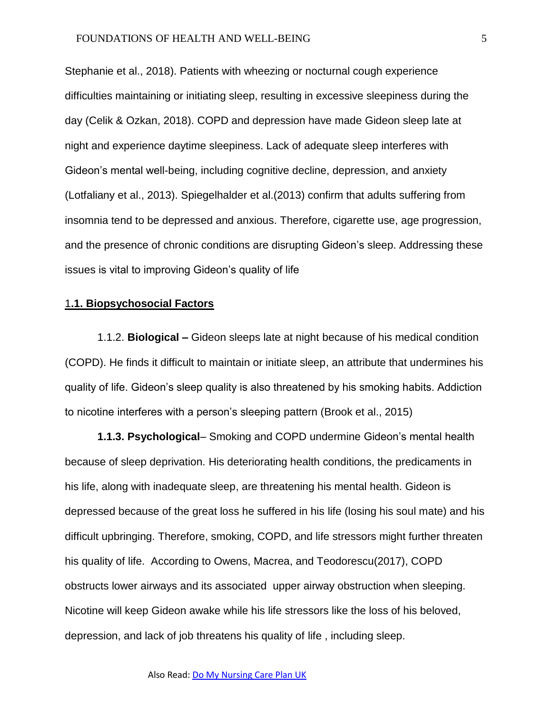Stephanie et al., 2018). Patients with wheezing or nocturnal cough experience difficulties maintaining or initiating sleep, resulting in excessive sleepiness during the day (Celik & Ozkan, 2018). COPD and depression have made Gideon sleep late at night and experience daytime sleepiness. Lack of adequate sleep interferes with Gideon's mental well-being, including cognitive decline, depression, and anxiety (Lotfaliany et al., 2013). Spiegelhalder et al.(2013) confirm that adults suffering from insomnia tend to be depressed and anxious. Therefore, cigarette use, age progression, and the presence of chronic conditions are disrupting Gideon's sleep. Addressing these issues is vital to improving Gideon's quality of life

# 1**.1. Biopsychosocial Factors**

1.1.2. **Biological –** Gideon sleeps late at night because of his medical condition (COPD). He finds it difficult to maintain or initiate sleep, an attribute that undermines his quality of life. Gideon's sleep quality is also threatened by his smoking habits. Addiction to nicotine interferes with a person's sleeping pattern (Brook et al., 2015)

**1.1.3. Psychological**– Smoking and COPD undermine Gideon's mental health because of sleep deprivation. His deteriorating health conditions, the predicaments in his life, along with inadequate sleep, are threatening his mental health. Gideon is depressed because of the great loss he suffered in his life (losing his soul mate) and his difficult upbringing. Therefore, smoking, COPD, and life stressors might further threaten his quality of life. According to Owens, Macrea, and Teodorescu(2017), COPD obstructs lower airways and its associated upper airway obstruction when sleeping. Nicotine will keep Gideon awake while his life stressors like the loss of his beloved, depression, and lack of job threatens his quality of life , including sleep.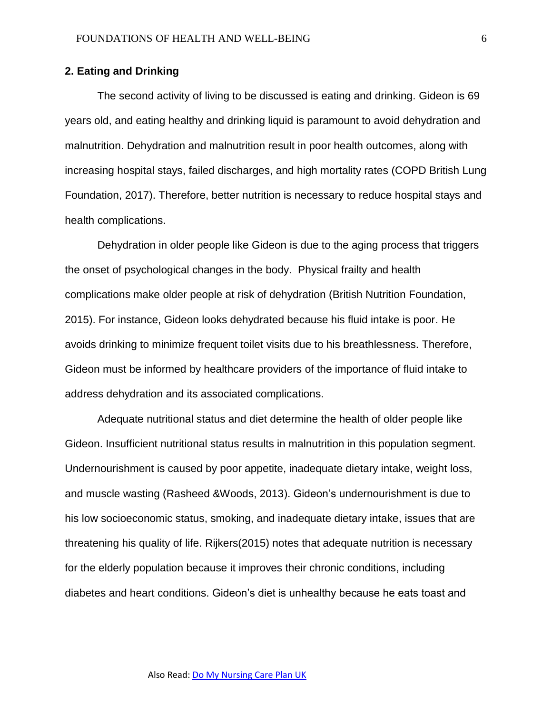# **2. Eating and Drinking**

The second activity of living to be discussed is eating and drinking. Gideon is 69 years old, and eating healthy and drinking liquid is paramount to avoid dehydration and malnutrition. Dehydration and malnutrition result in poor health outcomes, along with increasing hospital stays, failed discharges, and high mortality rates (COPD British Lung Foundation, 2017). Therefore, better nutrition is necessary to reduce hospital stays and health complications.

Dehydration in older people like Gideon is due to the aging process that triggers the onset of psychological changes in the body. Physical frailty and health complications make older people at risk of dehydration (British Nutrition Foundation, 2015). For instance, Gideon looks dehydrated because his fluid intake is poor. He avoids drinking to minimize frequent toilet visits due to his breathlessness. Therefore, Gideon must be informed by healthcare providers of the importance of fluid intake to address dehydration and its associated complications.

Adequate nutritional status and diet determine the health of older people like Gideon. Insufficient nutritional status results in malnutrition in this population segment. Undernourishment is caused by poor appetite, inadequate dietary intake, weight loss, and muscle wasting (Rasheed &Woods, 2013). Gideon's undernourishment is due to his low socioeconomic status, smoking, and inadequate dietary intake, issues that are threatening his quality of life. Rijkers(2015) notes that adequate nutrition is necessary for the elderly population because it improves their chronic conditions, including diabetes and heart conditions. Gideon's diet is unhealthy because he eats toast and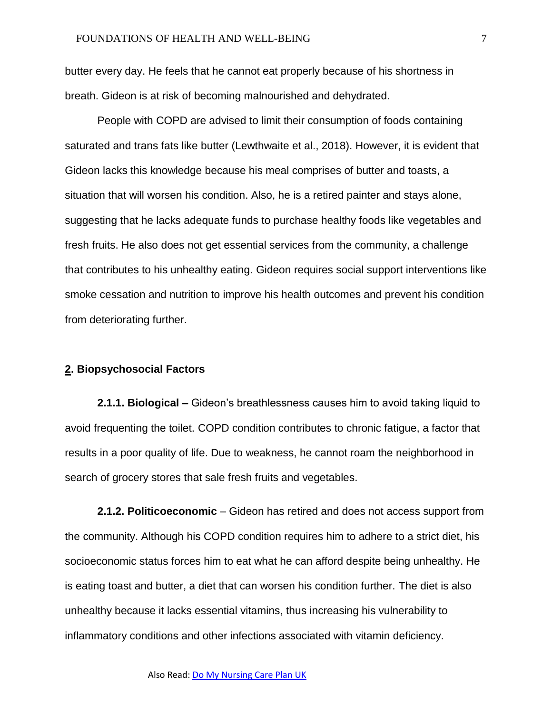butter every day. He feels that he cannot eat properly because of his shortness in breath. Gideon is at risk of becoming malnourished and dehydrated.

People with COPD are advised to limit their consumption of foods containing saturated and trans fats like butter (Lewthwaite et al., 2018). However, it is evident that Gideon lacks this knowledge because his meal comprises of butter and toasts, a situation that will worsen his condition. Also, he is a retired painter and stays alone, suggesting that he lacks adequate funds to purchase healthy foods like vegetables and fresh fruits. He also does not get essential services from the community, a challenge that contributes to his unhealthy eating. Gideon requires social support interventions like smoke cessation and nutrition to improve his health outcomes and prevent his condition from deteriorating further.

#### **2. Biopsychosocial Factors**

**2.1.1. Biological –** Gideon's breathlessness causes him to avoid taking liquid to avoid frequenting the toilet. COPD condition contributes to chronic fatigue, a factor that results in a poor quality of life. Due to weakness, he cannot roam the neighborhood in search of grocery stores that sale fresh fruits and vegetables.

**2.1.2. Politicoeconomic** – Gideon has retired and does not access support from the community. Although his COPD condition requires him to adhere to a strict diet, his socioeconomic status forces him to eat what he can afford despite being unhealthy. He is eating toast and butter, a diet that can worsen his condition further. The diet is also unhealthy because it lacks essential vitamins, thus increasing his vulnerability to inflammatory conditions and other infections associated with vitamin deficiency.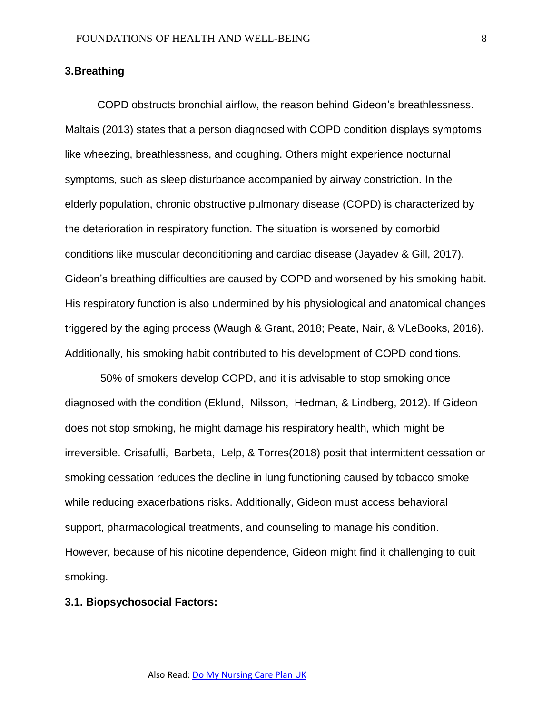## **3.Breathing**

COPD obstructs bronchial airflow, the reason behind Gideon's breathlessness. Maltais (2013) states that a person diagnosed with COPD condition displays symptoms like wheezing, breathlessness, and coughing. Others might experience nocturnal symptoms, such as sleep disturbance accompanied by airway constriction. In the elderly population, chronic obstructive pulmonary disease (COPD) is characterized by the deterioration in respiratory function. The situation is worsened by comorbid conditions like muscular deconditioning and cardiac disease (Jayadev & Gill, 2017). Gideon's breathing difficulties are caused by COPD and worsened by his smoking habit. His respiratory function is also undermined by his physiological and anatomical changes triggered by the aging process (Waugh & Grant, 2018; Peate, Nair, & VLeBooks, 2016). Additionally, his smoking habit contributed to his development of COPD conditions.

50% of smokers develop COPD, and it is advisable to stop smoking once diagnosed with the condition (Eklund, Nilsson, Hedman, & Lindberg, 2012). If Gideon does not stop smoking, he might damage his respiratory health, which might be irreversible. Crisafulli, Barbeta, Lelp, & Torres(2018) posit that intermittent cessation or smoking cessation reduces the decline in lung functioning caused by tobacco smoke while reducing exacerbations risks. Additionally, Gideon must access behavioral support, pharmacological treatments, and counseling to manage his condition. However, because of his nicotine dependence, Gideon might find it challenging to quit smoking.

#### **3.1. Biopsychosocial Factors:**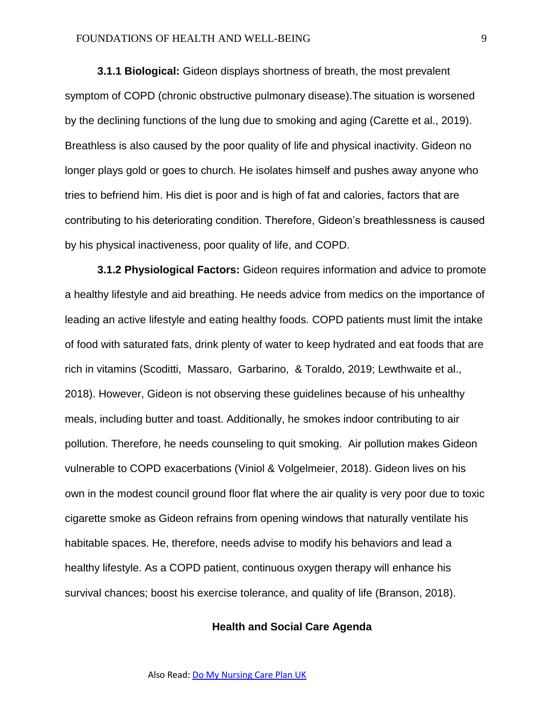#### FOUNDATIONS OF HEALTH AND WELL-BEING 9

**3.1.1 Biological:** Gideon displays shortness of breath, the most prevalent symptom of COPD (chronic obstructive pulmonary disease).The situation is worsened by the declining functions of the lung due to smoking and aging (Carette et al., 2019). Breathless is also caused by the poor quality of life and physical inactivity. Gideon no longer plays gold or goes to church. He isolates himself and pushes away anyone who tries to befriend him. His diet is poor and is high of fat and calories, factors that are contributing to his deteriorating condition. Therefore, Gideon's breathlessness is caused by his physical inactiveness, poor quality of life, and COPD.

**3.1.2 Physiological Factors:** Gideon requires information and advice to promote a healthy lifestyle and aid breathing. He needs advice from medics on the importance of leading an active lifestyle and eating healthy foods. COPD patients must limit the intake of food with saturated fats, drink plenty of water to keep hydrated and eat foods that are rich in vitamins (Scoditti, Massaro, Garbarino, & Toraldo, 2019; Lewthwaite et al., 2018). However, Gideon is not observing these guidelines because of his unhealthy meals, including butter and toast. Additionally, he smokes indoor contributing to air pollution. Therefore, he needs counseling to quit smoking. Air pollution makes Gideon vulnerable to COPD exacerbations (Viniol & Volgelmeier, 2018). Gideon lives on his own in the modest council ground floor flat where the air quality is very poor due to toxic cigarette smoke as Gideon refrains from opening windows that naturally ventilate his habitable spaces. He, therefore, needs advise to modify his behaviors and lead a healthy lifestyle. As a COPD patient, continuous oxygen therapy will enhance his survival chances; boost his exercise tolerance, and quality of life (Branson, 2018).

## **Health and Social Care Agenda**

Also Read[: Do My Nursing Care Plan UK](https://www.nursingessaywriters.co.uk/do-my-nursing-care-plan-uk)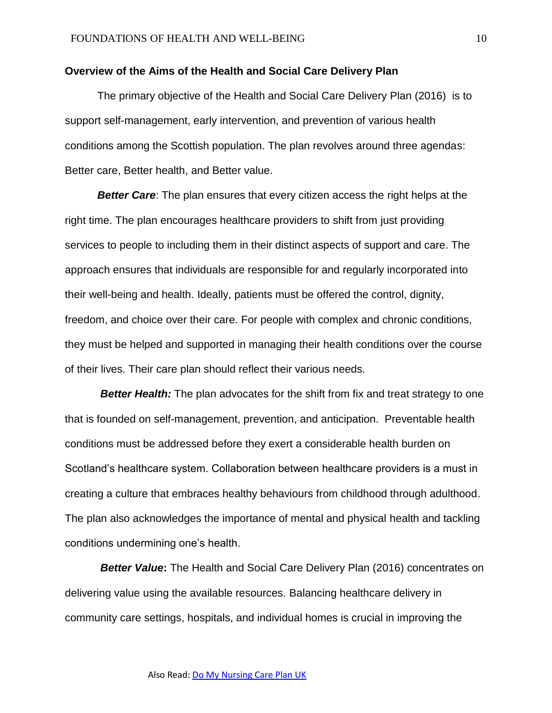#### **Overview of the Aims of the Health and Social Care Delivery Plan**

The primary objective of the Health and Social Care Delivery Plan (2016) is to support self-management, early intervention, and prevention of various health conditions among the Scottish population. The plan revolves around three agendas: Better care, Better health, and Better value.

*Better Care*: The plan ensures that every citizen access the right helps at the right time. The plan encourages healthcare providers to shift from just providing services to people to including them in their distinct aspects of support and care. The approach ensures that individuals are responsible for and regularly incorporated into their well-being and health. Ideally, patients must be offered the control, dignity, freedom, and choice over their care. For people with complex and chronic conditions, they must be helped and supported in managing their health conditions over the course of their lives. Their care plan should reflect their various needs.

**Better Health:** The plan advocates for the shift from fix and treat strategy to one that is founded on self-management, prevention, and anticipation. Preventable health conditions must be addressed before they exert a considerable health burden on Scotland's healthcare system. Collaboration between healthcare providers is a must in creating a culture that embraces healthy behaviours from childhood through adulthood. The plan also acknowledges the importance of mental and physical health and tackling conditions undermining one's health.

*Better Value***:** The Health and Social Care Delivery Plan (2016) concentrates on delivering value using the available resources. Balancing healthcare delivery in community care settings, hospitals, and individual homes is crucial in improving the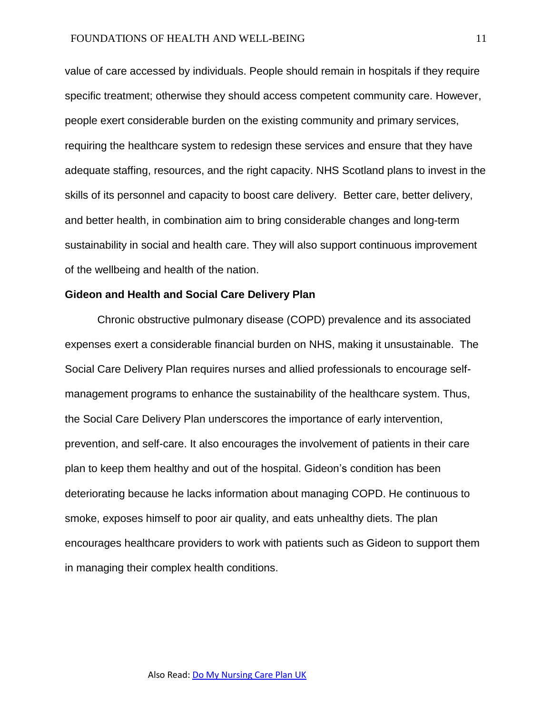value of care accessed by individuals. People should remain in hospitals if they require specific treatment; otherwise they should access competent community care. However, people exert considerable burden on the existing community and primary services, requiring the healthcare system to redesign these services and ensure that they have adequate staffing, resources, and the right capacity. NHS Scotland plans to invest in the skills of its personnel and capacity to boost care delivery. Better care, better delivery, and better health, in combination aim to bring considerable changes and long-term sustainability in social and health care. They will also support continuous improvement of the wellbeing and health of the nation.

## **Gideon and Health and Social Care Delivery Plan**

Chronic obstructive pulmonary disease (COPD) prevalence and its associated expenses exert a considerable financial burden on NHS, making it unsustainable. The Social Care Delivery Plan requires nurses and allied professionals to encourage selfmanagement programs to enhance the sustainability of the healthcare system. Thus, the Social Care Delivery Plan underscores the importance of early intervention, prevention, and self-care. It also encourages the involvement of patients in their care plan to keep them healthy and out of the hospital. Gideon's condition has been deteriorating because he lacks information about managing COPD. He continuous to smoke, exposes himself to poor air quality, and eats unhealthy diets. The plan encourages healthcare providers to work with patients such as Gideon to support them in managing their complex health conditions.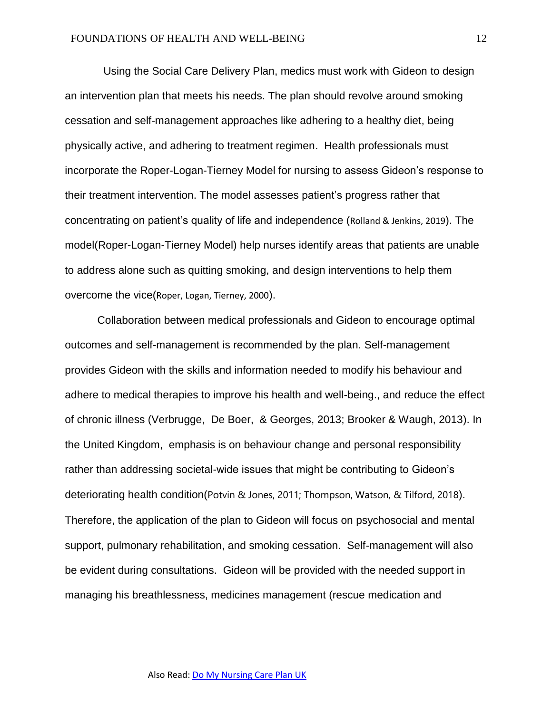Using the Social Care Delivery Plan, medics must work with Gideon to design an intervention plan that meets his needs. The plan should revolve around smoking cessation and self-management approaches like adhering to a healthy diet, being physically active, and adhering to treatment regimen. Health professionals must incorporate the Roper-Logan-Tierney Model for nursing to assess Gideon's response to their treatment intervention. The model assesses patient's progress rather that concentrating on patient's quality of life and independence (Rolland & Jenkins, 2019). The model(Roper-Logan-Tierney Model) help nurses identify areas that patients are unable to address alone such as quitting smoking, and design interventions to help them overcome the vice(Roper, Logan, Tierney, 2000).

Collaboration between medical professionals and Gideon to encourage optimal outcomes and self-management is recommended by the plan. Self-management provides Gideon with the skills and information needed to modify his behaviour and adhere to medical therapies to improve his health and well-being., and reduce the effect of chronic illness (Verbrugge, De Boer, & Georges, 2013; Brooker & Waugh, 2013). In the United Kingdom, emphasis is on behaviour change and personal responsibility rather than addressing societal-wide issues that might be contributing to Gideon's deteriorating health condition(Potvin & Jones, 2011; Thompson, Watson, & Tilford, 2018). Therefore, the application of the plan to Gideon will focus on psychosocial and mental support, pulmonary rehabilitation, and smoking cessation. Self-management will also be evident during consultations. Gideon will be provided with the needed support in managing his breathlessness, medicines management (rescue medication and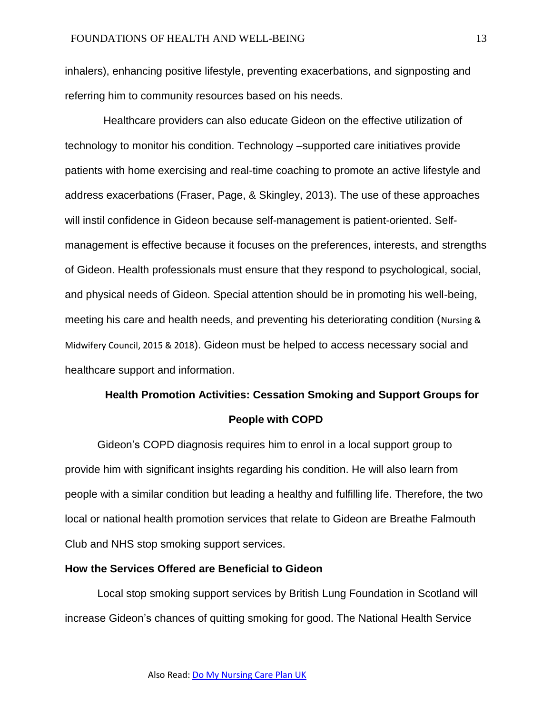inhalers), enhancing positive lifestyle, preventing exacerbations, and signposting and referring him to community resources based on his needs.

 Healthcare providers can also educate Gideon on the effective utilization of technology to monitor his condition. Technology –supported care initiatives provide patients with home exercising and real-time coaching to promote an active lifestyle and address exacerbations (Fraser, Page, & Skingley, 2013). The use of these approaches will instil confidence in Gideon because self-management is patient-oriented. Selfmanagement is effective because it focuses on the preferences, interests, and strengths of Gideon. Health professionals must ensure that they respond to psychological, social, and physical needs of Gideon. Special attention should be in promoting his well-being, meeting his care and health needs, and preventing his deteriorating condition (Nursing & Midwifery Council, 2015 & 2018). Gideon must be helped to access necessary social and healthcare support and information.

# **Health Promotion Activities: Cessation Smoking and Support Groups for People with COPD**

Gideon's COPD diagnosis requires him to enrol in a local support group to provide him with significant insights regarding his condition. He will also learn from people with a similar condition but leading a healthy and fulfilling life. Therefore, the two local or national health promotion services that relate to Gideon are Breathe Falmouth Club and NHS stop smoking support services.

# **How the Services Offered are Beneficial to Gideon**

Local stop smoking support services by British Lung Foundation in Scotland will increase Gideon's chances of quitting smoking for good. The National Health Service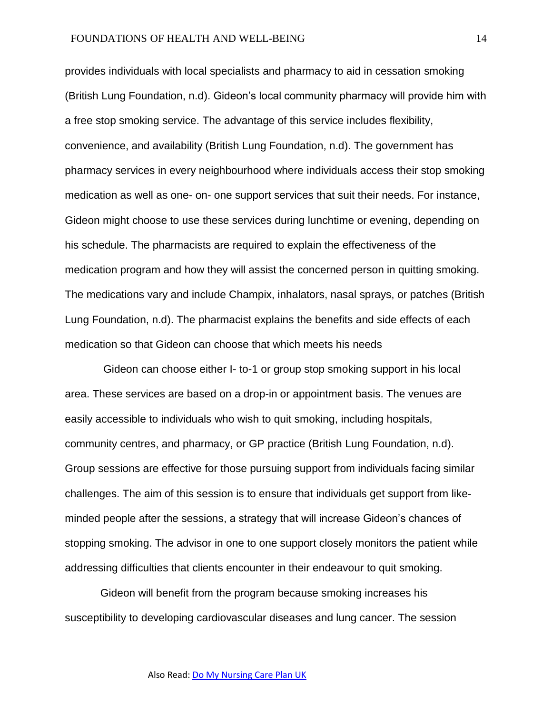provides individuals with local specialists and pharmacy to aid in cessation smoking (British Lung Foundation, n.d). Gideon's local community pharmacy will provide him with a free stop smoking service. The advantage of this service includes flexibility, convenience, and availability (British Lung Foundation, n.d). The government has pharmacy services in every neighbourhood where individuals access their stop smoking medication as well as one- on- one support services that suit their needs. For instance, Gideon might choose to use these services during lunchtime or evening, depending on his schedule. The pharmacists are required to explain the effectiveness of the medication program and how they will assist the concerned person in quitting smoking. The medications vary and include Champix, inhalators, nasal sprays, or patches (British Lung Foundation, n.d). The pharmacist explains the benefits and side effects of each medication so that Gideon can choose that which meets his needs

 Gideon can choose either I- to-1 or group stop smoking support in his local area. These services are based on a drop-in or appointment basis. The venues are easily accessible to individuals who wish to quit smoking, including hospitals, community centres, and pharmacy, or GP practice (British Lung Foundation, n.d). Group sessions are effective for those pursuing support from individuals facing similar challenges. The aim of this session is to ensure that individuals get support from likeminded people after the sessions, a strategy that will increase Gideon's chances of stopping smoking. The advisor in one to one support closely monitors the patient while addressing difficulties that clients encounter in their endeavour to quit smoking.

Gideon will benefit from the program because smoking increases his susceptibility to developing cardiovascular diseases and lung cancer. The session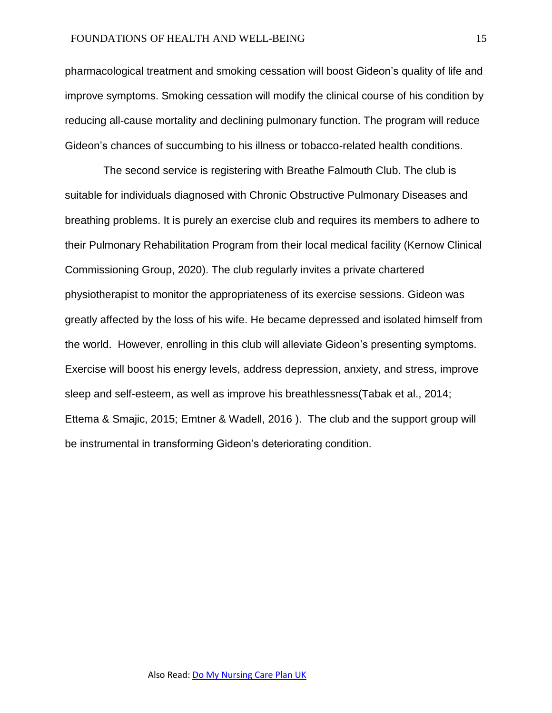pharmacological treatment and smoking cessation will boost Gideon's quality of life and improve symptoms. Smoking cessation will modify the clinical course of his condition by reducing all-cause mortality and declining pulmonary function. The program will reduce Gideon's chances of succumbing to his illness or tobacco-related health conditions.

 The second service is registering with Breathe Falmouth Club. The club is suitable for individuals diagnosed with Chronic Obstructive Pulmonary Diseases and breathing problems. It is purely an exercise club and requires its members to adhere to their Pulmonary Rehabilitation Program from their local medical facility (Kernow Clinical Commissioning Group, 2020). The club regularly invites a private chartered physiotherapist to monitor the appropriateness of its exercise sessions. Gideon was greatly affected by the loss of his wife. He became depressed and isolated himself from the world. However, enrolling in this club will alleviate Gideon's presenting symptoms. Exercise will boost his energy levels, address depression, anxiety, and stress, improve sleep and self-esteem, as well as improve his breathlessness(Tabak et al., 2014; Ettema & Smajic, 2015; Emtner & Wadell, 2016 ). The club and the support group will be instrumental in transforming Gideon's deteriorating condition.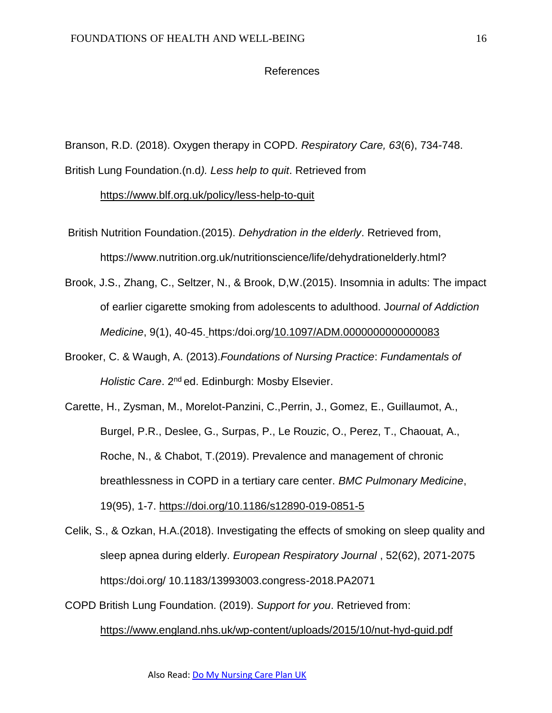#### References

Branson, R.D. (2018). Oxygen therapy in COPD. *Respiratory Care, 63*(6), 734-748. British Lung Foundation.(n.d*). Less help to quit*. Retrieved from

<https://www.blf.org.uk/policy/less-help-to-quit>

- British Nutrition Foundation.(2015). *Dehydration in the elderly*. Retrieved from, https://www.nutrition.org.uk/nutritionscience/life/dehydrationelderly.html?
- Brook, J.S., Zhang, C., Seltzer, N., & Brook, D,W.(2015). Insomnia in adults: The impact of earlier cigarette smoking from adolescents to adulthood. J*ournal of Addiction Medicine*, 9(1), 40-45. https:/doi.org[/10.1097/ADM.0000000000000083](https://dx.doi.org/10.1097%2FADM.0000000000000083)
- Brooker, C. & Waugh, A. (2013).*Foundations of Nursing Practice*: *Fundamentals of Holistic Care.* 2<sup>nd</sup> ed. Edinburgh: Mosby Elsevier.
- Carette, H., Zysman, M., Morelot-Panzini, C.,Perrin, J., Gomez, E., Guillaumot, A., Burgel, P.R., Deslee, G., Surpas, P., Le Rouzic, O., Perez, T., Chaouat, A., Roche, N., & Chabot, T.(2019). Prevalence and management of chronic breathlessness in COPD in a tertiary care center. *BMC Pulmonary Medicine*, 19(95), 1-7.<https://doi.org/10.1186/s12890-019-0851-5>
- Celik, S., & Ozkan, H.A.(2018). Investigating the effects of smoking on sleep quality and sleep apnea during elderly. *European Respiratory Journal* , 52(62), 2071-2075 https:/doi.org/ 10.1183/13993003.congress-2018.PA2071
- COPD British Lung Foundation. (2019). *Support for you*. Retrieved from: <https://www.england.nhs.uk/wp-content/uploads/2015/10/nut-hyd-guid.pdf>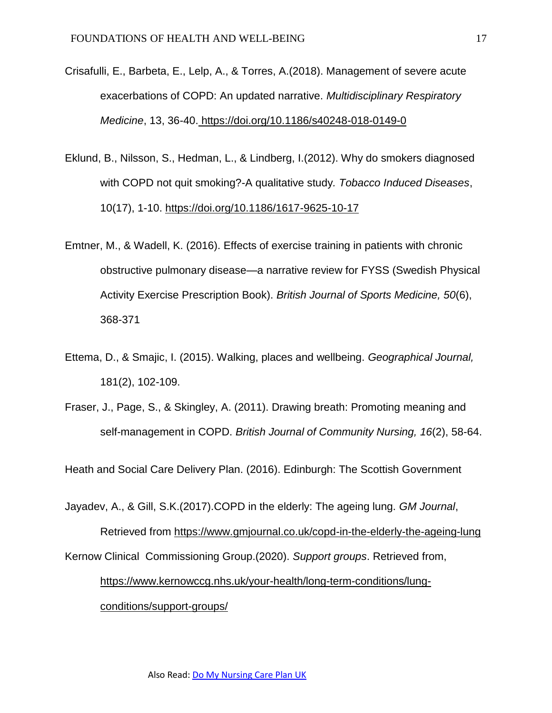- Crisafulli, E., Barbeta, E., Lelp, A., & Torres, A.(2018). Management of severe acute exacerbations of COPD: An updated narrative. *Multidisciplinary Respiratory Medicine*, 13, 36-40. <https://doi.org/10.1186/s40248-018-0149-0>
- Eklund, B., Nilsson, S., Hedman, L., & Lindberg, I.(2012). Why do smokers diagnosed with COPD not quit smoking?-A qualitative study*. Tobacco Induced Diseases*, 10(17), 1-10. <https://doi.org/10.1186/1617-9625-10-17>
- Emtner, M., & Wadell, K. (2016). Effects of exercise training in patients with chronic obstructive pulmonary disease—a narrative review for FYSS (Swedish Physical Activity Exercise Prescription Book). *British Journal of Sports Medicine, 50*(6), 368-371
- Ettema, D., & Smajic, I. (2015). Walking, places and wellbeing. *Geographical Journal,* 181(2), 102-109.
- Fraser, J., Page, S., & Skingley, A. (2011). Drawing breath: Promoting meaning and self-management in COPD. *British Journal of Community Nursing, 16*(2), 58-64.

Heath and Social Care Delivery Plan. (2016). Edinburgh: The Scottish Government

Jayadev, A., & Gill, S.K.(2017).COPD in the elderly: The ageing lung. *GM Journal*, Retrieved from<https://www.gmjournal.co.uk/copd-in-the-elderly-the-ageing-lung> Kernow Clinical Commissioning Group.(2020). *Support groups*. Retrieved from, [https://www.kernowccg.nhs.uk/your-health/long-term-conditions/lung](https://www.kernowccg.nhs.uk/your-health/long-term-conditions/lung-conditions/support-groups/)[conditions/support-groups/](https://www.kernowccg.nhs.uk/your-health/long-term-conditions/lung-conditions/support-groups/)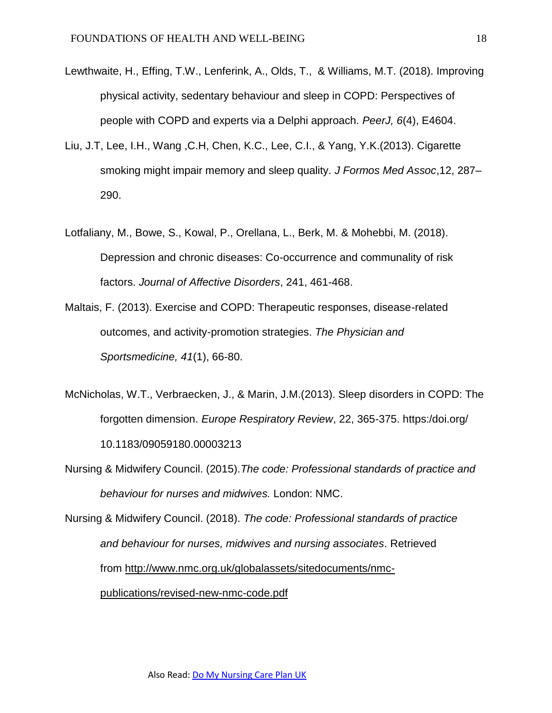- Lewthwaite, H., Effing, T.W., Lenferink, A., Olds, T., & Williams, M.T. (2018). Improving physical activity, sedentary behaviour and sleep in COPD: Perspectives of people with COPD and experts via a Delphi approach. *PeerJ, 6*(4), E4604.
- Liu, J.T, Lee, I.H., Wang ,C.H, Chen, K.C., Lee, C.I., & Yang, Y.K.(2013). Cigarette smoking might impair memory and sleep quality. *J Formos Med Assoc*,12, 287– 290.
- Lotfaliany, M., Bowe, S., Kowal, P., Orellana, L., Berk, M. & Mohebbi, M. (2018). Depression and chronic diseases: Co-occurrence and communality of risk factors. *Journal of Affective Disorders*, 241, 461-468.
- Maltais, F. (2013). Exercise and COPD: Therapeutic responses, disease-related outcomes, and activity-promotion strategies. *The Physician and Sportsmedicine, 41*(1), 66-80.
- McNicholas, W.T., Verbraecken, J., & Marin, J.M.(2013). Sleep disorders in COPD: The forgotten dimension. *Europe Respiratory Review*, 22, 365-375. https:/doi.org/ 10.1183/09059180.00003213
- Nursing & Midwifery Council. (2015).*The code: Professional standards of practice and behaviour for nurses and midwives.* London: NMC.
- Nursing & Midwifery Council. (2018). *The code: Professional standards of practice and behaviour for nurses, midwives and nursing associates*. Retrieved from [http://www.nmc.org.uk/globalassets/sitedocuments/nmc](http://www.nmc.org.uk/globalassets/sitedocuments/nmc-publications/revised-new-nmc-code.pdf)[publications/revised-new-nmc-code.pdf](http://www.nmc.org.uk/globalassets/sitedocuments/nmc-publications/revised-new-nmc-code.pdf)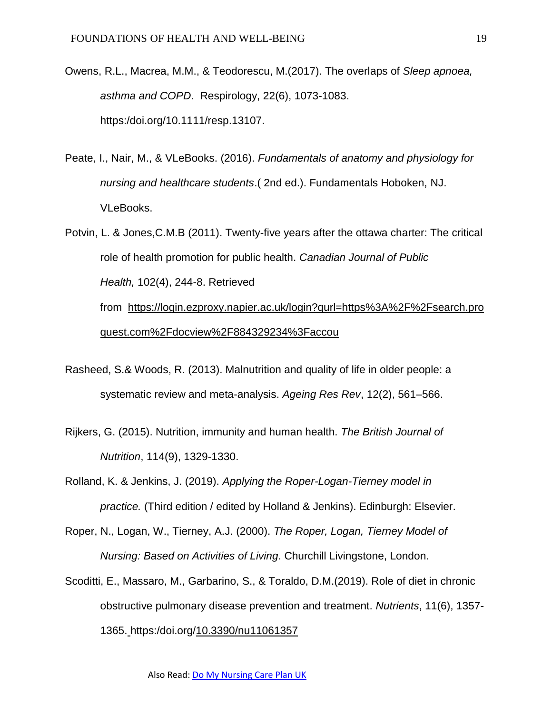- Owens, R.L., Macrea, M.M., & Teodorescu, M.(2017). The overlaps of *Sleep apnoea, asthma and COPD*. Respirology, 22(6), 1073-1083. https:/doi.org/10.1111/resp.13107.
- Peate, I., Nair, M., & VLeBooks. (2016). *Fundamentals of anatomy and physiology for nursing and healthcare students*.( 2nd ed.). Fundamentals Hoboken, NJ. VLeBooks.
- Potvin, L. & Jones,C.M.B (2011). Twenty-five years after the ottawa charter: The critical role of health promotion for public health. *Canadian Journal of Public Health,* 102(4), 244-8. Retrieved from [https://login.ezproxy.napier.ac.uk/login?qurl=https%3A%2F%2Fsearch.pro](https://login.ezproxy.napier.ac.uk/login?qurl=https%3A%2F%2Fsearch.proquest.com%2Fdocview%2F884329234%3Faccou) [quest.com%2Fdocview%2F884329234%3Faccou](https://login.ezproxy.napier.ac.uk/login?qurl=https%3A%2F%2Fsearch.proquest.com%2Fdocview%2F884329234%3Faccou)
- Rasheed, S.& Woods, R. (2013). Malnutrition and quality of life in older people: a systematic review and meta-analysis. *Ageing Res Rev*, 12(2), 561–566.
- Rijkers, G. (2015). Nutrition, immunity and human health. *The British Journal of Nutrition*, 114(9), 1329-1330.
- Rolland, K. & Jenkins, J. (2019). *Applying the Roper-Logan-Tierney model in practice.* (Third edition / edited by Holland & Jenkins). Edinburgh: Elsevier.
- Roper, N., Logan, W., Tierney, A.J. (2000). *The Roper, Logan, Tierney Model of Nursing: Based on Activities of Living*. Churchill Livingstone, London.
- Scoditti, E., Massaro, M., Garbarino, S., & Toraldo, D.M.(2019). Role of diet in chronic obstructive pulmonary disease prevention and treatment. *Nutrients*, 11(6), 1357- 1365. https:/doi.org[/10.3390/nu11061357](https://dx.doi.org/10.3390%2Fnu11061357)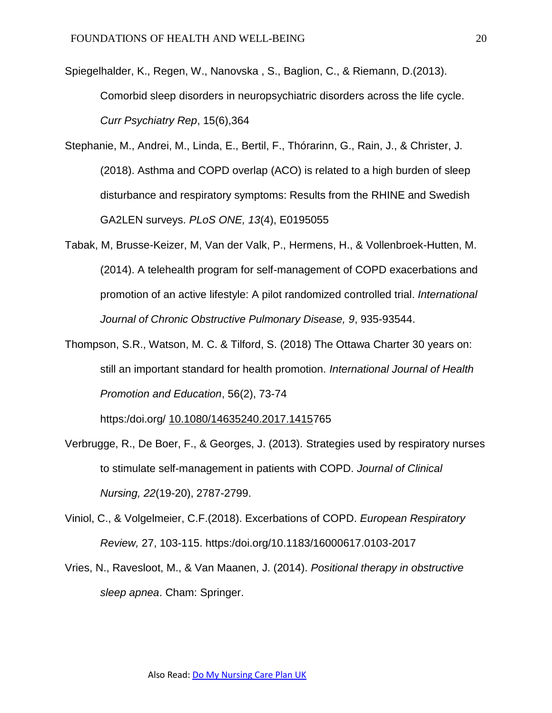- Spiegelhalder, K., Regen, W., Nanovska , S., Baglion, C., & Riemann, D.(2013). Comorbid sleep disorders in neuropsychiatric disorders across the life cycle. *Curr Psychiatry Rep*, 15(6),364
- Stephanie, M., Andrei, M., Linda, E., Bertil, F., Thórarinn, G., Rain, J., & Christer, J. (2018). Asthma and COPD overlap (ACO) is related to a high burden of sleep disturbance and respiratory symptoms: Results from the RHINE and Swedish GA2LEN surveys. *PLoS ONE, 13*(4), E0195055
- Tabak, M, Brusse-Keizer, M, Van der Valk, P., Hermens, H., & Vollenbroek-Hutten, M. (2014). A telehealth program for self-management of COPD exacerbations and promotion of an active lifestyle: A pilot randomized controlled trial. *International Journal of Chronic Obstructive Pulmonary Disease, 9*, 935-93544.
- Thompson, S.R., Watson, M. C. & Tilford, S. (2018) The Ottawa Charter 30 years on: still an important standard for health promotion. *International Journal of Health Promotion and Education*, 56(2), 73-74

https:/doi.org/ [10.1080/14635240.2017.14157](https://doi-org.ezproxy.napier.ac.uk/10.1080/14635240.2017.1415765)65

- Verbrugge, R., De Boer, F., & Georges, J. (2013). Strategies used by respiratory nurses to stimulate self-management in patients with COPD. *Journal of Clinical Nursing, 22*(19-20), 2787-2799.
- Viniol, C., & Volgelmeier, C.F.(2018). Excerbations of COPD. *European Respiratory Review,* 27, 103-115. https:/doi.org/10.1183/16000617.0103-2017
- Vries, N., Ravesloot, M., & Van Maanen, J. (2014). *Positional therapy in obstructive sleep apnea*. Cham: Springer.